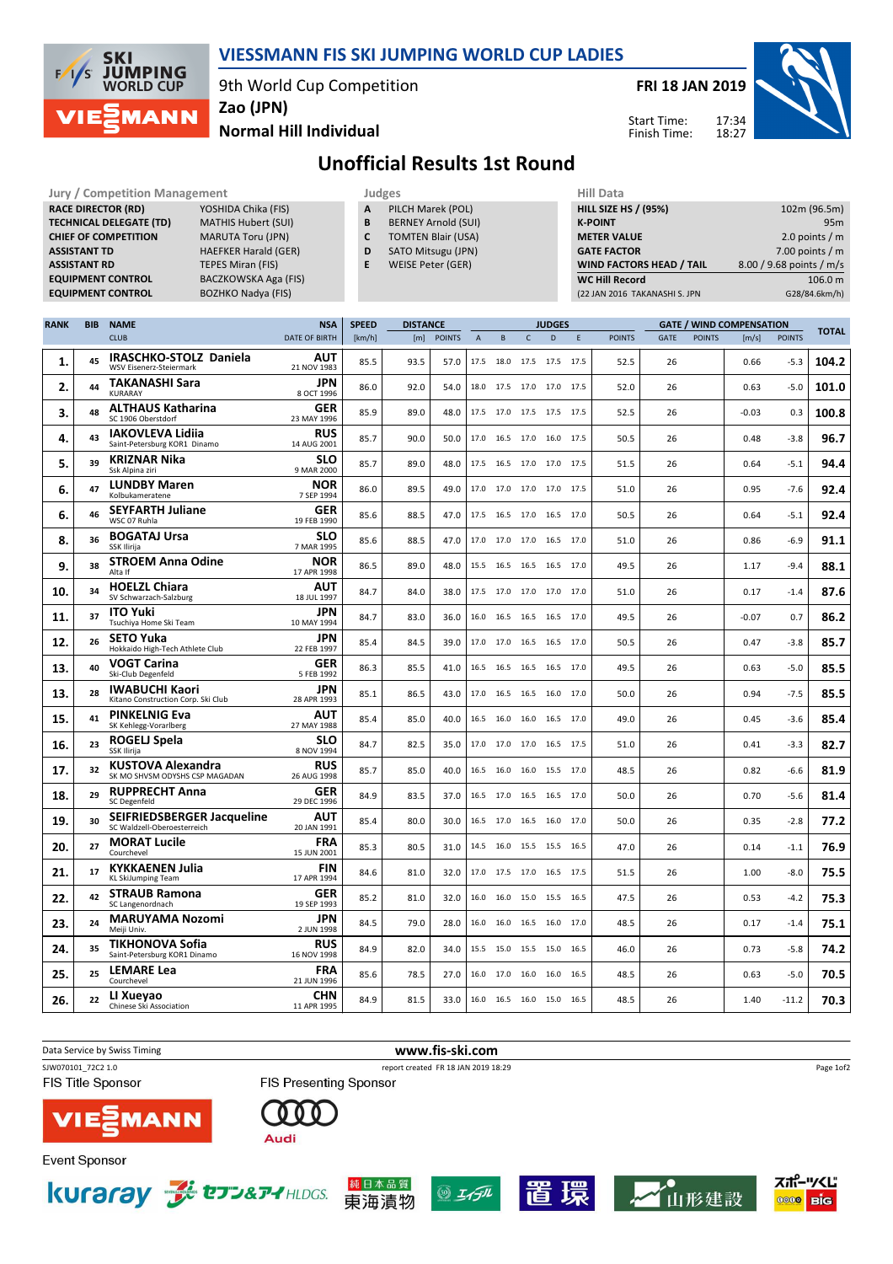

## VIESSMANN FIS SKI JUMPING WORLD CUP LADIES

9th World Cup Competition

Jury / Competition Management Judges Hill Data

FRI 18 JAN 2019

Start Time: Finish Time:



Normal Hill Individual

RACE DIRECTOR (RD) YOSHIDA Chika (FIS)

Unofficial Results 1st Round

 $\overline{\phantom{a}}$  and  $\overline{\phantom{a}}$ 

| <b>RACE DIRECTOR (RD)</b><br>YOSHIDA Chika (FIS)<br><b>TECHNICAL DELEGATE (TD)</b><br><b>MATHIS Hubert (SUI)</b><br><b>CHIEF OF COMPETITION</b><br><b>MARUTA Toru (JPN)</b><br><b>ASSISTANT TD</b><br><b>HAEFKER Harald (GER)</b> |                     |                                                                  |                                                   |                                   | PILCH Marek (POL)<br>A<br>B<br><b>BERNEY Arnold (SUI)</b><br>C<br><b>TOMTEN Blair (USA)</b><br>D<br>SATO Mitsugu (JPN) |                        |               |                |                          |              | <b>HILL SIZE HS / (95%)</b><br><b>K-POINT</b><br><b>METER VALUE</b><br><b>GATE FACTOR</b> |             | 102m (96.5m)<br>95m<br>2.0 points $/m$<br>7.00 points $/m$ |                                                          |         |                          |                          |
|-----------------------------------------------------------------------------------------------------------------------------------------------------------------------------------------------------------------------------------|---------------------|------------------------------------------------------------------|---------------------------------------------------|-----------------------------------|------------------------------------------------------------------------------------------------------------------------|------------------------|---------------|----------------|--------------------------|--------------|-------------------------------------------------------------------------------------------|-------------|------------------------------------------------------------|----------------------------------------------------------|---------|--------------------------|--------------------------|
|                                                                                                                                                                                                                                   | <b>ASSISTANT RD</b> |                                                                  | <b>TEPES Miran (FIS)</b>                          |                                   | E                                                                                                                      | WEISE Peter (GER)      |               |                |                          |              |                                                                                           |             |                                                            | <b>WIND FACTORS HEAD / TAIL</b>                          |         | 8.00 / 9.68 points / m/s |                          |
|                                                                                                                                                                                                                                   |                     | <b>EQUIPMENT CONTROL</b><br><b>EQUIPMENT CONTROL</b>             | BACZKOWSKA Aga (FIS)<br><b>BOZHKO Nadya (FIS)</b> |                                   |                                                                                                                        |                        |               |                |                          |              |                                                                                           |             | <b>WC Hill Record</b>                                      | (22 JAN 2016 TAKANASHI S. JPN                            |         |                          | 106.0 m<br>G28/84.6km/h) |
|                                                                                                                                                                                                                                   |                     |                                                                  |                                                   |                                   |                                                                                                                        |                        |               |                |                          |              |                                                                                           |             |                                                            |                                                          |         |                          |                          |
| <b>RANK</b>                                                                                                                                                                                                                       | <b>BIB</b>          | <b>NAME</b><br><b>CLUB</b>                                       |                                                   | <b>NSA</b><br>DATE OF BIRTH       | <b>SPEED</b><br>[km/h]                                                                                                 | <b>DISTANCE</b><br>[m] | <b>POINTS</b> | $\overline{A}$ | $\sf{B}$                 | $\mathsf{C}$ | <b>JUDGES</b><br>D                                                                        | $\mathsf E$ | <b>POINTS</b>                                              | <b>GATE / WIND COMPENSATION</b><br>GATE<br><b>POINTS</b> | [m/s]   | <b>POINTS</b>            | <b>TOTAL</b>             |
| 1.                                                                                                                                                                                                                                | 45                  | <b>IRASCHKO-STOLZ Daniela</b>                                    |                                                   | AUT                               | 85.5                                                                                                                   | 93.5                   | 57.0          |                | 17.5 18.0 17.5 17.5 17.5 |              |                                                                                           |             | 52.5                                                       | 26                                                       | 0.66    | $-5.3$                   | 104.2                    |
| 2.                                                                                                                                                                                                                                | 44                  | WSV Eisenerz-Steiermark<br><b>TAKANASHI Sara</b>                 |                                                   | 21 NOV 1983<br>JPN                | 86.0                                                                                                                   | 92.0                   | 54.0          |                | 18.0 17.5 17.0 17.0 17.5 |              |                                                                                           |             | 52.0                                                       | 26                                                       | 0.63    | $-5.0$                   | 101.0                    |
| 3.                                                                                                                                                                                                                                | 48                  | KURARAY<br><b>ALTHAUS Katharina</b>                              |                                                   | 8 OCT 1996<br><b>GER</b>          | 85.9                                                                                                                   | 89.0                   | 48.0          |                | 17.5 17.0 17.5 17.5 17.5 |              |                                                                                           |             | 52.5                                                       | 26                                                       | -0.03   | 0.3                      | 100.8                    |
| 4.                                                                                                                                                                                                                                | 43                  | SC 1906 Oberstdorf<br><b>IAKOVLEVA Lidiia</b>                    |                                                   | 23 MAY 1996<br><b>RUS</b>         | 85.7                                                                                                                   | 90.0                   | 50.0          | 17.0           | 16.5 17.0 16.0           |              |                                                                                           | 17.5        | 50.5                                                       | 26                                                       | 0.48    | $-3.8$                   | 96.7                     |
| 5.                                                                                                                                                                                                                                | 39                  | Saint-Petersburg KOR1 Dinamo<br><b>KRIZNAR Nika</b>              |                                                   | 14 AUG 2001<br>SLO                | 85.7                                                                                                                   | 89.0                   | 48.0          |                | 17.5 16.5 17.0 17.0 17.5 |              |                                                                                           |             | 51.5                                                       | 26                                                       | 0.64    | $-5.1$                   | 94.4                     |
| 6.                                                                                                                                                                                                                                | 47                  | Ssk Alpina ziri<br><b>LUNDBY Maren</b>                           |                                                   | 9 MAR 2000<br><b>NOR</b>          | 86.0                                                                                                                   | 89.5                   | 49.0          |                | 17.0 17.0 17.0 17.0 17.5 |              |                                                                                           |             | 51.0                                                       | 26                                                       | 0.95    | $-7.6$                   | 92.4                     |
| 6.                                                                                                                                                                                                                                | 46                  | Kolbukameratene<br><b>SEYFARTH Juliane</b>                       |                                                   | 7 SEP 1994<br>GER                 | 85.6                                                                                                                   | 88.5                   | 47.0          |                | 17.5 16.5 17.0 16.5 17.0 |              |                                                                                           |             | 50.5                                                       | 26                                                       | 0.64    | $-5.1$                   | 92.4                     |
| 8.                                                                                                                                                                                                                                | 36                  | WSC 07 Ruhla<br><b>BOGATAJ Ursa</b>                              |                                                   | 19 FEB 1990<br><b>SLO</b>         | 85.6                                                                                                                   | 88.5                   | 47.0          |                | 17.0 17.0 17.0 16.5 17.0 |              |                                                                                           |             | 51.0                                                       | 26                                                       | 0.86    | $-6.9$                   | 91.1                     |
| 9.                                                                                                                                                                                                                                | 38                  | SSK Ilirija<br><b>STROEM Anna Odine</b>                          |                                                   | 7 MAR 1995<br><b>NOR</b>          | 86.5                                                                                                                   | 89.0                   | 48.0          |                | 15.5 16.5 16.5 16.5      |              |                                                                                           | 17.0        | 49.5                                                       | 26                                                       | 1.17    | $-9.4$                   | 88.1                     |
| 10.                                                                                                                                                                                                                               | 34                  | Alta If<br><b>HOELZL Chiara</b><br>SV Schwarzach-Salzburg        |                                                   | 17 APR 1998<br>AUT<br>18 JUL 1997 | 84.7                                                                                                                   | 84.0                   | 38.0          |                | 17.5 17.0 17.0 17.0 17.0 |              |                                                                                           |             | 51.0                                                       | 26                                                       | 0.17    | $-1.4$                   | 87.6                     |
| 11.                                                                                                                                                                                                                               | 37                  | <b>ITO Yuki</b><br>Tsuchiya Home Ski Team                        |                                                   | JPN<br>10 MAY 1994                | 84.7                                                                                                                   | 83.0                   | 36.0          | 16.0           | 16.5 16.5 16.5           |              |                                                                                           | 17.0        | 49.5                                                       | 26                                                       | $-0.07$ | 0.7                      | 86.2                     |
| 12.                                                                                                                                                                                                                               | 26                  | <b>SETO Yuka</b><br>Hokkaido High-Tech Athlete Club              |                                                   | JPN<br>22 FEB 1997                | 85.4                                                                                                                   | 84.5                   | 39.0          |                | 17.0 17.0 16.5 16.5 17.0 |              |                                                                                           |             | 50.5                                                       | 26                                                       | 0.47    | $-3.8$                   | 85.7                     |
| 13.                                                                                                                                                                                                                               | 40                  | <b>VOGT Carina</b><br>Ski-Club Degenfeld                         |                                                   | <b>GER</b><br>5 FEB 1992          | 86.3                                                                                                                   | 85.5                   | 41.0          |                | 16.5 16.5 16.5 16.5 17.0 |              |                                                                                           |             | 49.5                                                       | 26                                                       | 0.63    | $-5.0$                   | 85.5                     |
| 13.                                                                                                                                                                                                                               | 28                  | <b>IWABUCHI Kaori</b><br>Kitano Construction Corp. Ski Club      |                                                   | JPN<br>28 APR 1993                | 85.1                                                                                                                   | 86.5                   | 43.0          |                | 17.0 16.5 16.5 16.0 17.0 |              |                                                                                           |             | 50.0                                                       | 26                                                       | 0.94    | $-7.5$                   | 85.5                     |
| 15.                                                                                                                                                                                                                               | 41                  | <b>PINKELNIG Eva</b><br>SK Kehlegg-Vorarlberg                    |                                                   | AUT<br>27 MAY 1988                | 85.4                                                                                                                   | 85.0                   | 40.0          |                | 16.5 16.0 16.0 16.5 17.0 |              |                                                                                           |             | 49.0                                                       | 26                                                       | 0.45    | $-3.6$                   | 85.4                     |
| 16.                                                                                                                                                                                                                               | 23                  | ROGELJ Spela<br>SSK Ilirija                                      |                                                   | SLO<br>8 NOV 1994                 | 84.7                                                                                                                   | 82.5                   | 35.0          | 17.0           | 17.0 17.0 16.5           |              |                                                                                           | 17.5        | 51.0                                                       | 26                                                       | 0.41    | $-3.3$                   | 82.7                     |
| 17.                                                                                                                                                                                                                               | 32                  | KUSTOVA Alexandra<br>SK MO SHVSM ODYSHS CSP MAGADAN              |                                                   | <b>RUS</b><br>26 AUG 1998         | 85.7                                                                                                                   | 85.0                   | 40.0          |                | 16.5 16.0 16.0 15.5 17.0 |              |                                                                                           |             | 48.5                                                       | 26                                                       | 0.82    | $-6.6$                   | 81.9                     |
| 18.                                                                                                                                                                                                                               | 29                  | <b>RUPPRECHT Anna</b><br>SC Degenfeld                            |                                                   | GER<br>29 DEC 1996                | 84.9                                                                                                                   | 83.5                   | 37.0          | 16.5           | 17.0 16.5 16.5           |              |                                                                                           | 17.0        | 50.0                                                       | 26                                                       | 0.70    | $-5.6$                   | 81.4                     |
| 19.                                                                                                                                                                                                                               | 30                  | <b>SEIFRIEDSBERGER Jacqueline</b><br>SC Waldzell-Oberoesterreich |                                                   | AUT<br>20 JAN 1991                | 85.4                                                                                                                   | 80.0                   | 30.0          |                | 16.5 17.0 16.5 16.0 17.0 |              |                                                                                           |             | 50.0                                                       | 26                                                       | 0.35    | $-2.8$                   | 77.2                     |
| 20.                                                                                                                                                                                                                               | 27                  | <b>MORAT Lucile</b><br>Courchevel                                |                                                   | <b>FRA</b><br>15 JUN 2001         | 85.3                                                                                                                   | 80.5                   | 31.0          |                | 14.5 16.0 15.5 15.5 16.5 |              |                                                                                           |             | 47.0                                                       | 26                                                       | 0.14    | $-1.1$                   | 76.9                     |
| 21.                                                                                                                                                                                                                               | 17                  | <b>KYKKAENEN Julia</b><br>KL SKIJUMPING Team                     |                                                   | <b>FIN</b><br>17 APR 1994         | 84.6                                                                                                                   | 81.0                   | 32.0          |                | 17.0 17.5 17.0 16.5 17.5 |              |                                                                                           |             | 51.5                                                       | 26                                                       | 1.00    | -8.0                     | 75.5                     |
| 22.                                                                                                                                                                                                                               | 42                  | <b>STRAUB Ramona</b><br>SC Langenordnach                         |                                                   | GER<br>19 SEP 1993                | 85.2                                                                                                                   | 81.0                   | 32.0          |                | 16.0 16.0 15.0 15.5 16.5 |              |                                                                                           |             | 47.5                                                       | 26                                                       | 0.53    | $-4.2$                   | 75.3                     |
| 23.                                                                                                                                                                                                                               | 24                  | <b>MARUYAMA Nozomi</b><br>Meiji Univ.                            |                                                   | JPN<br>2 JUN 1998                 | 84.5                                                                                                                   | 79.0                   | 28.0          |                | 16.0 16.0 16.5 16.0 17.0 |              |                                                                                           |             | 48.5                                                       | 26                                                       | 0.17    | $-1.4$                   | 75.1                     |
| 24.                                                                                                                                                                                                                               | 35                  | <b>TIKHONOVA Sofia</b><br>Saint-Petersburg KOR1 Dinamo           |                                                   | <b>RUS</b><br>16 NOV 1998         | 84.9                                                                                                                   | 82.0                   | 34.0          |                | 15.5 15.0 15.5 15.0 16.5 |              |                                                                                           |             | 46.0                                                       | 26                                                       | 0.73    | $-5.8$                   | 74.2                     |
| 25.                                                                                                                                                                                                                               | 25                  | <b>LEMARE Lea</b><br>Courchevel                                  |                                                   | <b>FRA</b><br>21 JUN 1996         | 85.6                                                                                                                   | 78.5                   | 27.0          |                | 16.0 17.0 16.0 16.0 16.5 |              |                                                                                           |             | 48.5                                                       | 26                                                       | 0.63    | $-5.0$                   | 70.5                     |
| 26.                                                                                                                                                                                                                               | 22                  | LI Xueyao<br>Chinese Ski Association                             |                                                   | <b>CHN</b><br>11 APR 1995         | 84.9                                                                                                                   | 81.5                   | 33.0          |                | 16.0 16.5 16.0 15.0 16.5 |              |                                                                                           |             | 48.5                                                       | 26                                                       | 1.40    | $-11.2$                  | 70.3                     |



|  | <b>KUraray Sterver-HILDGS.</b> |
|--|--------------------------------|